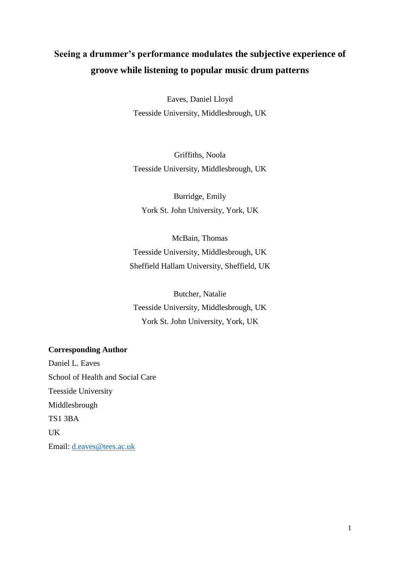# **Seeing a drummer's performance modulates the subjective experience of groove while listening to popular music drum patterns**

Eaves, Daniel Lloyd Teesside University, Middlesbrough, UK

Griffiths, Noola Teesside University, Middlesbrough, UK

Burridge, Emily York St. John University, York, UK

McBain, Thomas Teesside University, Middlesbrough, UK Sheffield Hallam University, Sheffield, UK

Butcher, Natalie Teesside University, Middlesbrough, UK York St. John University, York, UK

# **Corresponding Author**

Daniel L. Eaves School of Health and Social Care Teesside University Middlesbrough TS1 3BA UK Email: [d.eaves@tees.ac.uk](mailto:d.eaves@tees.ac.uk)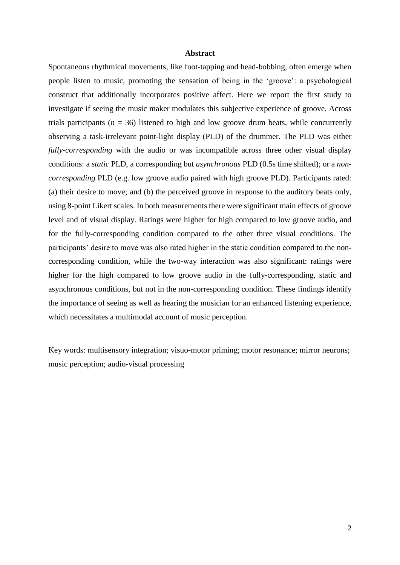### **Abstract**

Spontaneous rhythmical movements, like foot-tapping and head-bobbing, often emerge when people listen to music, promoting the sensation of being in the 'groove': a psychological construct that additionally incorporates positive affect. Here we report the first study to investigate if seeing the music maker modulates this subjective experience of groove. Across trials participants ( $n = 36$ ) listened to high and low groove drum beats, while concurrently observing a task-irrelevant point-light display (PLD) of the drummer. The PLD was either *fully-corresponding* with the audio or was incompatible across three other visual display conditions: a *static* PLD, a corresponding but *asynchronous* PLD (0.5s time shifted); or a *noncorresponding* PLD (e.g. low groove audio paired with high groove PLD). Participants rated: (a) their desire to move; and (b) the perceived groove in response to the auditory beats only, using 8-point Likert scales. In both measurements there were significant main effects of groove level and of visual display. Ratings were higher for high compared to low groove audio, and for the fully-corresponding condition compared to the other three visual conditions. The participants' desire to move was also rated higher in the static condition compared to the noncorresponding condition, while the two-way interaction was also significant: ratings were higher for the high compared to low groove audio in the fully-corresponding, static and asynchronous conditions, but not in the non-corresponding condition. These findings identify the importance of seeing as well as hearing the musician for an enhanced listening experience, which necessitates a multimodal account of music perception.

Key words: multisensory integration; visuo-motor priming; motor resonance; mirror neurons; music perception; audio-visual processing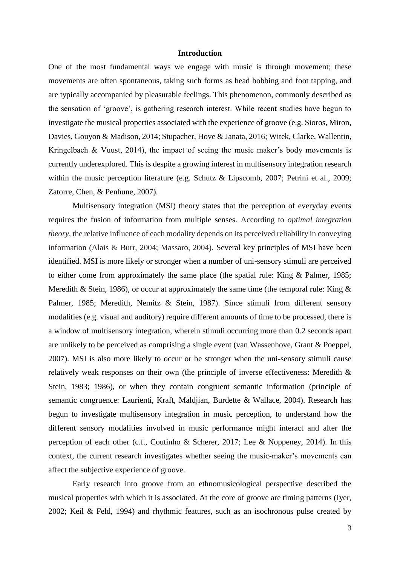#### **Introduction**

One of the most fundamental ways we engage with music is through movement; these movements are often spontaneous, taking such forms as head bobbing and foot tapping, and are typically accompanied by pleasurable feelings. This phenomenon, commonly described as the sensation of 'groove', is gathering research interest. While recent studies have begun to investigate the musical properties associated with the experience of groove (e.g. Sioros, Miron, Davies, Gouyon & Madison, 2014; Stupacher, Hove & Janata, 2016; Witek, Clarke, Wallentin, Kringelbach & Vuust, 2014), the impact of seeing the music maker's body movements is currently underexplored. This is despite a growing interest in multisensory integration research within the music perception literature (e.g. Schutz & Lipscomb, 2007; Petrini et al., 2009; Zatorre, Chen, & Penhune, 2007).

Multisensory integration (MSI) theory states that the perception of everyday events requires the fusion of information from multiple senses. According to *optimal integration theory*, the relative influence of each modality depends on its perceived reliability in conveying information (Alais & Burr, 2004; Massaro, 2004). Several key principles of MSI have been identified. MSI is more likely or stronger when a number of uni-sensory stimuli are perceived to either come from approximately the same place (the spatial rule: King & Palmer, 1985; Meredith & Stein, 1986), or occur at approximately the same time (the temporal rule: King & Palmer, 1985; Meredith, Nemitz & Stein, 1987). Since stimuli from different sensory modalities (e.g. visual and auditory) require different amounts of time to be processed, there is a window of multisensory integration, wherein stimuli occurring more than 0.2 seconds apart are unlikely to be perceived as comprising a single event (van Wassenhove, Grant & Poeppel, 2007). MSI is also more likely to occur or be stronger when the uni-sensory stimuli cause relatively weak responses on their own (the principle of inverse effectiveness: Meredith & Stein, 1983; 1986), or when they contain congruent semantic information (principle of semantic congruence: Laurienti, Kraft, Maldjian, Burdette & Wallace, 2004). Research has begun to investigate multisensory integration in music perception, to understand how the different sensory modalities involved in music performance might interact and alter the perception of each other (c.f., Coutinho & Scherer, 2017; Lee & Noppeney, 2014). In this context, the current research investigates whether seeing the music-maker's movements can affect the subjective experience of groove.

Early research into groove from an ethnomusicological perspective described the musical properties with which it is associated. At the core of groove are timing patterns (Iyer, 2002; Keil & Feld, 1994) and rhythmic features, such as an isochronous pulse created by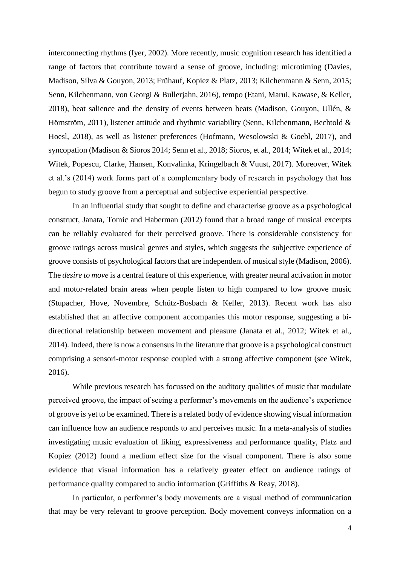interconnecting rhythms (Iyer, 2002). More recently, music cognition research has identified a range of factors that contribute toward a sense of groove, including: microtiming (Davies, Madison, Silva & Gouyon, 2013; Frühauf, Kopiez & Platz, 2013; Kilchenmann & Senn, 2015; Senn, Kilchenmann, von Georgi & Bullerjahn, 2016), tempo (Etani, Marui, Kawase, & Keller, 2018), beat salience and the density of events between beats (Madison, Gouyon, Ullén, & Hörnström, 2011), listener attitude and rhythmic variability (Senn, Kilchenmann, Bechtold & Hoesl, 2018), as well as listener preferences (Hofmann, Wesolowski & Goebl, 2017), and syncopation (Madison & Sioros 2014; Senn et al., 2018; Sioros, et al., 2014; Witek et al., 2014; Witek, Popescu, Clarke, Hansen, Konvalinka, Kringelbach & Vuust, 2017). Moreover, Witek et al.'s (2014) work forms part of a complementary body of research in psychology that has begun to study groove from a perceptual and subjective experiential perspective.

In an influential study that sought to define and characterise groove as a psychological construct, Janata, Tomic and Haberman (2012) found that a broad range of musical excerpts can be reliably evaluated for their perceived groove. There is considerable consistency for groove ratings across musical genres and styles, which suggests the subjective experience of groove consists of psychological factors that are independent of musical style (Madison, 2006). The *desire to move* is a central feature of this experience, with greater neural activation in motor and motor-related brain areas when people listen to high compared to low groove music (Stupacher, Hove, Novembre, Schütz-Bosbach & Keller, 2013). Recent work has also established that an affective component accompanies this motor response, suggesting a bidirectional relationship between movement and pleasure (Janata et al., 2012; Witek et al., 2014). Indeed, there is now a consensus in the literature that groove is a psychological construct comprising a sensori-motor response coupled with a strong affective component (see Witek, 2016).

While previous research has focussed on the auditory qualities of music that modulate perceived groove, the impact of seeing a performer's movements on the audience's experience of groove is yet to be examined. There is a related body of evidence showing visual information can influence how an audience responds to and perceives music. In a meta-analysis of studies investigating music evaluation of liking, expressiveness and performance quality, Platz and Kopiez (2012) found a medium effect size for the visual component. There is also some evidence that visual information has a relatively greater effect on audience ratings of performance quality compared to audio information (Griffiths & Reay, 2018).

In particular, a performer's body movements are a visual method of communication that may be very relevant to groove perception. Body movement conveys information on a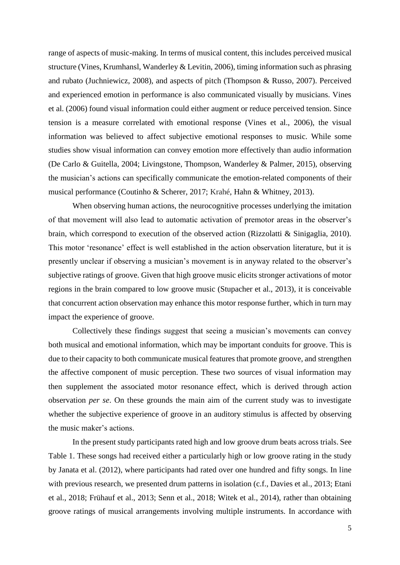range of aspects of music-making. In terms of musical content, this includes perceived musical structure (Vines, Krumhansl, Wanderley & Levitin, 2006), timing information such as phrasing and rubato (Juchniewicz, 2008), and aspects of pitch (Thompson & Russo, 2007). Perceived and experienced emotion in performance is also communicated visually by musicians. Vines et al. (2006) found visual information could either augment or reduce perceived tension. Since tension is a measure correlated with emotional response (Vines et al., 2006), the visual information was believed to affect subjective emotional responses to music. While some studies show visual information can convey emotion more effectively than audio information (De Carlo & Guitella, 2004; Livingstone, Thompson, Wanderley & Palmer, 2015), observing the musician's actions can specifically communicate the emotion-related components of their musical performance (Coutinho & Scherer, 2017; Krahé, Hahn & Whitney, 2013).

When observing human actions, the neurocognitive processes underlying the imitation of that movement will also lead to automatic activation of premotor areas in the observer's brain, which correspond to execution of the observed action (Rizzolatti & Sinigaglia, 2010). This motor 'resonance' effect is well established in the action observation literature, but it is presently unclear if observing a musician's movement is in anyway related to the observer's subjective ratings of groove. Given that high groove music elicits stronger activations of motor regions in the brain compared to low groove music (Stupacher et al., 2013), it is conceivable that concurrent action observation may enhance this motor response further, which in turn may impact the experience of groove.

Collectively these findings suggest that seeing a musician's movements can convey both musical and emotional information, which may be important conduits for groove. This is due to their capacity to both communicate musical features that promote groove, and strengthen the affective component of music perception. These two sources of visual information may then supplement the associated motor resonance effect, which is derived through action observation *per se*. On these grounds the main aim of the current study was to investigate whether the subjective experience of groove in an auditory stimulus is affected by observing the music maker's actions.

In the present study participants rated high and low groove drum beats across trials. See Table 1. These songs had received either a particularly high or low groove rating in the study by Janata et al. (2012), where participants had rated over one hundred and fifty songs. In line with previous research, we presented drum patterns in isolation (c.f., Davies et al., 2013; Etani et al., 2018; Frühauf et al., 2013; Senn et al., 2018; Witek et al., 2014), rather than obtaining groove ratings of musical arrangements involving multiple instruments. In accordance with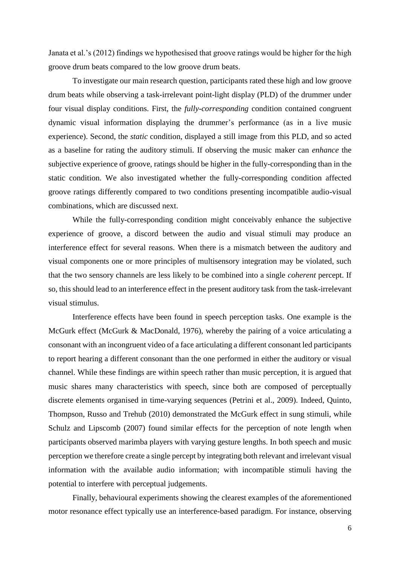Janata et al.'s (2012) findings we hypothesised that groove ratings would be higher for the high groove drum beats compared to the low groove drum beats.

To investigate our main research question, participants rated these high and low groove drum beats while observing a task-irrelevant point-light display (PLD) of the drummer under four visual display conditions. First, the *fully-corresponding* condition contained congruent dynamic visual information displaying the drummer's performance (as in a live music experience). Second, the *static* condition, displayed a still image from this PLD, and so acted as a baseline for rating the auditory stimuli. If observing the music maker can *enhance* the subjective experience of groove, ratings should be higher in the fully-corresponding than in the static condition. We also investigated whether the fully-corresponding condition affected groove ratings differently compared to two conditions presenting incompatible audio-visual combinations, which are discussed next.

While the fully-corresponding condition might conceivably enhance the subjective experience of groove, a discord between the audio and visual stimuli may produce an interference effect for several reasons. When there is a mismatch between the auditory and visual components one or more principles of multisensory integration may be violated, such that the two sensory channels are less likely to be combined into a single *coherent* percept. If so, this should lead to an interference effect in the present auditory task from the task-irrelevant visual stimulus.

Interference effects have been found in speech perception tasks. One example is the McGurk effect (McGurk & MacDonald, 1976), whereby the pairing of a voice articulating a consonant with an incongruent video of a face articulating a different consonant led participants to report hearing a different consonant than the one performed in either the auditory or visual channel. While these findings are within speech rather than music perception, it is argued that music shares many characteristics with speech, since both are composed of perceptually discrete elements organised in time-varying sequences (Petrini et al., 2009). Indeed, Quinto, Thompson, Russo and Trehub (2010) demonstrated the McGurk effect in sung stimuli, while Schulz and Lipscomb (2007) found similar effects for the perception of note length when participants observed marimba players with varying gesture lengths. In both speech and music perception we therefore create a single percept by integrating both relevant and irrelevant visual information with the available audio information; with incompatible stimuli having the potential to interfere with perceptual judgements.

Finally, behavioural experiments showing the clearest examples of the aforementioned motor resonance effect typically use an interference-based paradigm. For instance, observing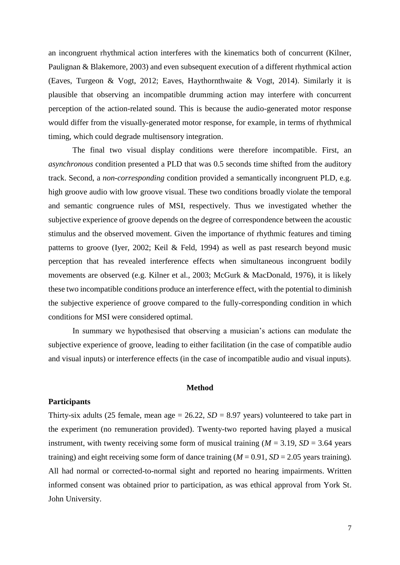an incongruent rhythmical action interferes with the kinematics both of concurrent (Kilner, Paulignan & Blakemore, 2003) and even subsequent execution of a different rhythmical action (Eaves, Turgeon & Vogt, 2012; Eaves, Haythornthwaite & Vogt, 2014). Similarly it is plausible that observing an incompatible drumming action may interfere with concurrent perception of the action-related sound. This is because the audio-generated motor response would differ from the visually-generated motor response, for example, in terms of rhythmical timing, which could degrade multisensory integration.

The final two visual display conditions were therefore incompatible. First, an *asynchronous* condition presented a PLD that was 0.5 seconds time shifted from the auditory track. Second, a *non-corresponding* condition provided a semantically incongruent PLD, e.g. high groove audio with low groove visual. These two conditions broadly violate the temporal and semantic congruence rules of MSI, respectively. Thus we investigated whether the subjective experience of groove depends on the degree of correspondence between the acoustic stimulus and the observed movement. Given the importance of rhythmic features and timing patterns to groove (Iyer, 2002; Keil & Feld, 1994) as well as past research beyond music perception that has revealed interference effects when simultaneous incongruent bodily movements are observed (e.g. Kilner et al., 2003; McGurk & MacDonald, 1976), it is likely these two incompatible conditions produce an interference effect, with the potential to diminish the subjective experience of groove compared to the fully-corresponding condition in which conditions for MSI were considered optimal.

In summary we hypothesised that observing a musician's actions can modulate the subjective experience of groove, leading to either facilitation (in the case of compatible audio and visual inputs) or interference effects (in the case of incompatible audio and visual inputs).

#### **Method**

## **Participants**

Thirty-six adults (25 female, mean age  $= 26.22$ ,  $SD = 8.97$  years) volunteered to take part in the experiment (no remuneration provided). Twenty-two reported having played a musical instrument, with twenty receiving some form of musical training  $(M = 3.19, SD = 3.64$  years training) and eight receiving some form of dance training  $(M = 0.91, SD = 2.05$  years training). All had normal or corrected-to-normal sight and reported no hearing impairments. Written informed consent was obtained prior to participation, as was ethical approval from York St. John University.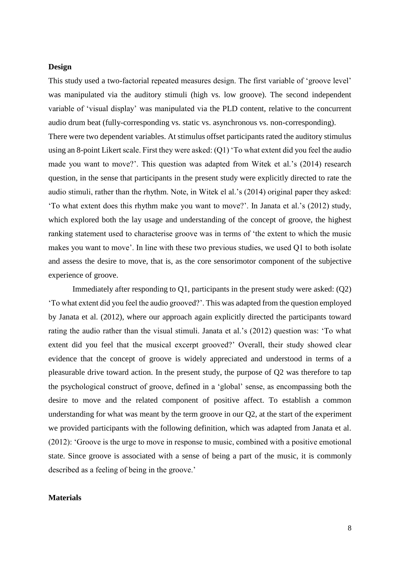## **Design**

This study used a two-factorial repeated measures design. The first variable of 'groove level' was manipulated via the auditory stimuli (high vs. low groove). The second independent variable of 'visual display' was manipulated via the PLD content, relative to the concurrent audio drum beat (fully-corresponding vs. static vs. asynchronous vs. non-corresponding).

There were two dependent variables. At stimulus offset participants rated the auditory stimulus using an 8-point Likert scale. First they were asked: (Q1) 'To what extent did you feel the audio made you want to move?'. This question was adapted from Witek et al.'s (2014) research question, in the sense that participants in the present study were explicitly directed to rate the audio stimuli, rather than the rhythm. Note, in Witek el al.'s (2014) original paper they asked: 'To what extent does this rhythm make you want to move?'. In Janata et al.'s (2012) study, which explored both the lay usage and understanding of the concept of groove, the highest ranking statement used to characterise groove was in terms of 'the extent to which the music makes you want to move'. In line with these two previous studies, we used Q1 to both isolate and assess the desire to move, that is, as the core sensorimotor component of the subjective experience of groove.

Immediately after responding to Q1, participants in the present study were asked: (Q2) 'To what extent did you feel the audio grooved?'. This was adapted from the question employed by Janata et al. (2012), where our approach again explicitly directed the participants toward rating the audio rather than the visual stimuli. Janata et al.'s (2012) question was: 'To what extent did you feel that the musical excerpt grooved?' Overall, their study showed clear evidence that the concept of groove is widely appreciated and understood in terms of a pleasurable drive toward action. In the present study, the purpose of Q2 was therefore to tap the psychological construct of groove, defined in a 'global' sense, as encompassing both the desire to move and the related component of positive affect. To establish a common understanding for what was meant by the term groove in our Q2, at the start of the experiment we provided participants with the following definition, which was adapted from Janata et al. (2012): 'Groove is the urge to move in response to music, combined with a positive emotional state. Since groove is associated with a sense of being a part of the music, it is commonly described as a feeling of being in the groove.'

# **Materials**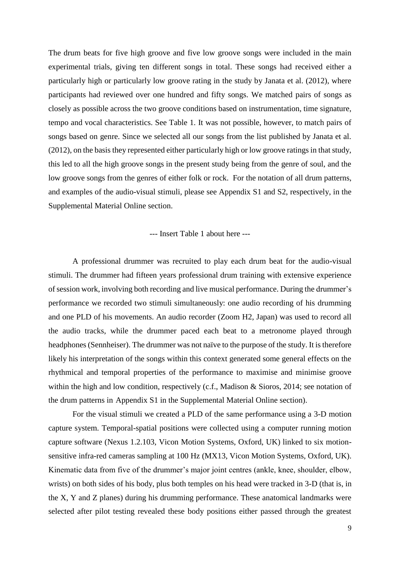The drum beats for five high groove and five low groove songs were included in the main experimental trials, giving ten different songs in total. These songs had received either a particularly high or particularly low groove rating in the study by Janata et al. (2012), where participants had reviewed over one hundred and fifty songs. We matched pairs of songs as closely as possible across the two groove conditions based on instrumentation, time signature, tempo and vocal characteristics. See Table 1. It was not possible, however, to match pairs of songs based on genre. Since we selected all our songs from the list published by Janata et al. (2012), on the basis they represented either particularly high or low groove ratings in that study, this led to all the high groove songs in the present study being from the genre of soul, and the low groove songs from the genres of either folk or rock. For the notation of all drum patterns, and examples of the audio-visual stimuli, please see Appendix S1 and S2, respectively, in the Supplemental Material Online section.

--- Insert Table 1 about here ---

A professional drummer was recruited to play each drum beat for the audio-visual stimuli. The drummer had fifteen years professional drum training with extensive experience of session work, involving both recording and live musical performance. During the drummer's performance we recorded two stimuli simultaneously: one audio recording of his drumming and one PLD of his movements. An audio recorder (Zoom H2, Japan) was used to record all the audio tracks, while the drummer paced each beat to a metronome played through headphones (Sennheiser). The drummer was not naïve to the purpose of the study. It is therefore likely his interpretation of the songs within this context generated some general effects on the rhythmical and temporal properties of the performance to maximise and minimise groove within the high and low condition, respectively (c.f., Madison & Sioros, 2014; see notation of the drum patterns in Appendix S1 in the Supplemental Material Online section).

For the visual stimuli we created a PLD of the same performance using a 3-D motion capture system. Temporal-spatial positions were collected using a computer running motion capture software (Nexus 1.2.103, Vicon Motion Systems, Oxford, UK) linked to six motionsensitive infra-red cameras sampling at 100 Hz (MX13, Vicon Motion Systems, Oxford, UK). Kinematic data from five of the drummer's major joint centres (ankle, knee, shoulder, elbow, wrists) on both sides of his body, plus both temples on his head were tracked in 3-D (that is, in the X, Y and Z planes) during his drumming performance. These anatomical landmarks were selected after pilot testing revealed these body positions either passed through the greatest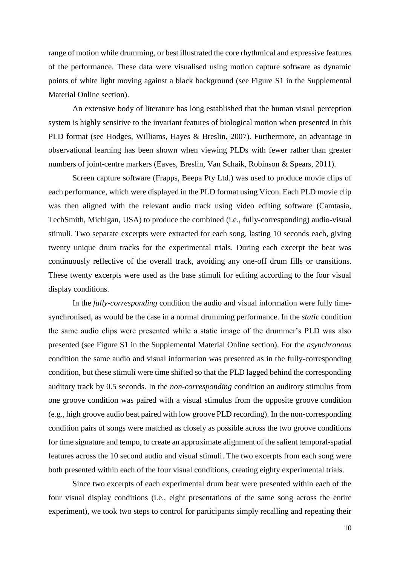range of motion while drumming, or best illustrated the core rhythmical and expressive features of the performance. These data were visualised using motion capture software as dynamic points of white light moving against a black background (see Figure S1 in the Supplemental Material Online section).

An extensive body of literature has long established that the human visual perception system is highly sensitive to the invariant features of biological motion when presented in this PLD format (see Hodges, Williams, Hayes & Breslin, 2007). Furthermore, an advantage in observational learning has been shown when viewing PLDs with fewer rather than greater numbers of joint-centre markers (Eaves, Breslin, Van Schaik, Robinson & Spears, 2011).

Screen capture software (Frapps, Beepa Pty Ltd.) was used to produce movie clips of each performance, which were displayed in the PLD format using Vicon. Each PLD movie clip was then aligned with the relevant audio track using video editing software (Camtasia, TechSmith, Michigan, USA) to produce the combined (i.e., fully-corresponding) audio-visual stimuli. Two separate excerpts were extracted for each song, lasting 10 seconds each, giving twenty unique drum tracks for the experimental trials. During each excerpt the beat was continuously reflective of the overall track, avoiding any one-off drum fills or transitions. These twenty excerpts were used as the base stimuli for editing according to the four visual display conditions.

In the *fully-corresponding* condition the audio and visual information were fully timesynchronised, as would be the case in a normal drumming performance. In the *static* condition the same audio clips were presented while a static image of the drummer's PLD was also presented (see Figure S1 in the Supplemental Material Online section). For the *asynchronous* condition the same audio and visual information was presented as in the fully-corresponding condition, but these stimuli were time shifted so that the PLD lagged behind the corresponding auditory track by 0.5 seconds. In the *non-corresponding* condition an auditory stimulus from one groove condition was paired with a visual stimulus from the opposite groove condition (e.g., high groove audio beat paired with low groove PLD recording). In the non-corresponding condition pairs of songs were matched as closely as possible across the two groove conditions for time signature and tempo, to create an approximate alignment of the salient temporal-spatial features across the 10 second audio and visual stimuli. The two excerpts from each song were both presented within each of the four visual conditions, creating eighty experimental trials.

Since two excerpts of each experimental drum beat were presented within each of the four visual display conditions (i.e., eight presentations of the same song across the entire experiment), we took two steps to control for participants simply recalling and repeating their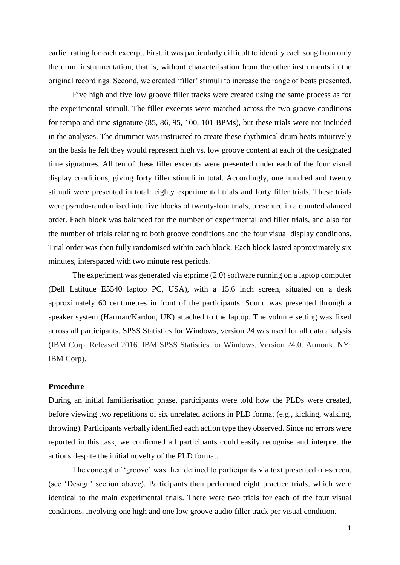earlier rating for each excerpt. First, it was particularly difficult to identify each song from only the drum instrumentation, that is, without characterisation from the other instruments in the original recordings. Second, we created 'filler' stimuli to increase the range of beats presented.

Five high and five low groove filler tracks were created using the same process as for the experimental stimuli. The filler excerpts were matched across the two groove conditions for tempo and time signature (85, 86, 95, 100, 101 BPMs), but these trials were not included in the analyses. The drummer was instructed to create these rhythmical drum beats intuitively on the basis he felt they would represent high vs. low groove content at each of the designated time signatures. All ten of these filler excerpts were presented under each of the four visual display conditions, giving forty filler stimuli in total. Accordingly, one hundred and twenty stimuli were presented in total: eighty experimental trials and forty filler trials. These trials were pseudo-randomised into five blocks of twenty-four trials, presented in a counterbalanced order. Each block was balanced for the number of experimental and filler trials, and also for the number of trials relating to both groove conditions and the four visual display conditions. Trial order was then fully randomised within each block. Each block lasted approximately six minutes, interspaced with two minute rest periods.

The experiment was generated via e:prime (2.0) software running on a laptop computer (Dell Latitude E5540 laptop PC, USA), with a 15.6 inch screen, situated on a desk approximately 60 centimetres in front of the participants. Sound was presented through a speaker system (Harman/Kardon, UK) attached to the laptop. The volume setting was fixed across all participants. SPSS Statistics for Windows, version 24 was used for all data analysis (IBM Corp. Released 2016. IBM SPSS Statistics for Windows, Version 24.0. Armonk, NY: IBM Corp).

## **Procedure**

During an initial familiarisation phase, participants were told how the PLDs were created, before viewing two repetitions of six unrelated actions in PLD format (e.g., kicking, walking, throwing). Participants verbally identified each action type they observed. Since no errors were reported in this task, we confirmed all participants could easily recognise and interpret the actions despite the initial novelty of the PLD format.

The concept of 'groove' was then defined to participants via text presented on-screen. (see 'Design' section above). Participants then performed eight practice trials, which were identical to the main experimental trials. There were two trials for each of the four visual conditions, involving one high and one low groove audio filler track per visual condition.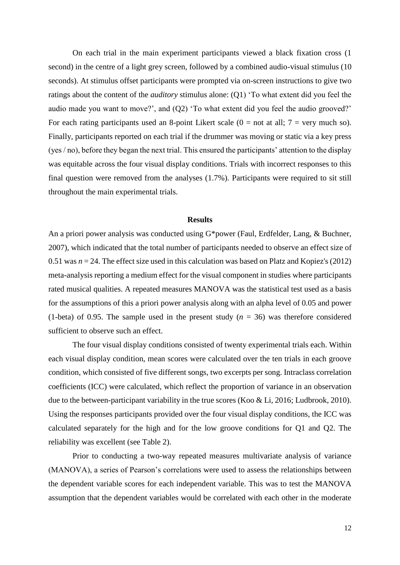On each trial in the main experiment participants viewed a black fixation cross (1 second) in the centre of a light grey screen, followed by a combined audio-visual stimulus (10) seconds). At stimulus offset participants were prompted via on-screen instructions to give two ratings about the content of the *auditory* stimulus alone: (Q1) 'To what extent did you feel the audio made you want to move?', and (Q2) 'To what extent did you feel the audio grooved?' For each rating participants used an 8-point Likert scale  $(0 = not at all; 7 = very much so)$ . Finally, participants reported on each trial if the drummer was moving or static via a key press (yes / no), before they began the next trial. This ensured the participants' attention to the display was equitable across the four visual display conditions. Trials with incorrect responses to this final question were removed from the analyses (1.7%). Participants were required to sit still throughout the main experimental trials.

## **Results**

An a priori power analysis was conducted using G\*power (Faul, Erdfelder, Lang, & Buchner, 2007), which indicated that the total number of participants needed to observe an effect size of 0.51 was  $n = 24$ . The effect size used in this calculation was based on Platz and Kopiez's (2012) meta-analysis reporting a medium effect for the visual component in studies where participants rated musical qualities. A repeated measures MANOVA was the statistical test used as a basis for the assumptions of this a priori power analysis along with an alpha level of 0.05 and power (1-beta) of 0.95. The sample used in the present study  $(n = 36)$  was therefore considered sufficient to observe such an effect.

The four visual display conditions consisted of twenty experimental trials each. Within each visual display condition, mean scores were calculated over the ten trials in each groove condition, which consisted of five different songs, two excerpts per song. Intraclass correlation coefficients (ICC) were calculated, which reflect the proportion of variance in an observation due to the between-participant variability in the true scores (Koo & Li, 2016; Ludbrook, 2010). Using the responses participants provided over the four visual display conditions, the ICC was calculated separately for the high and for the low groove conditions for Q1 and Q2. The reliability was excellent (see Table 2).

Prior to conducting a two-way repeated measures multivariate analysis of variance (MANOVA), a series of Pearson's correlations were used to assess the relationships between the dependent variable scores for each independent variable. This was to test the MANOVA assumption that the dependent variables would be correlated with each other in the moderate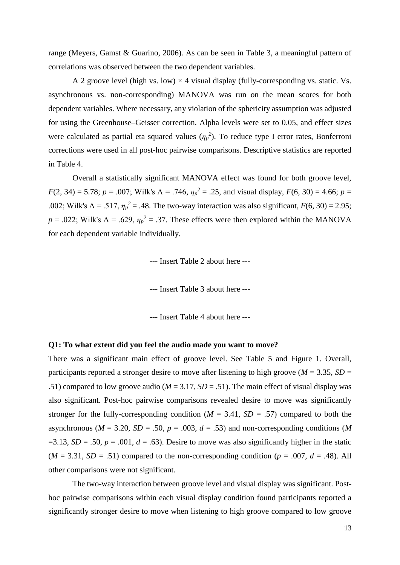range (Meyers, Gamst & Guarino, 2006). As can be seen in Table 3, a meaningful pattern of correlations was observed between the two dependent variables.

A 2 groove level (high vs. low)  $\times$  4 visual display (fully-corresponding vs. static. Vs. asynchronous vs. non-corresponding) MANOVA was run on the mean scores for both dependent variables. Where necessary, any violation of the sphericity assumption was adjusted for using the Greenhouse–Geisser correction. Alpha levels were set to 0.05, and effect sizes were calculated as partial eta squared values  $(\eta_p^2)$ . To reduce type I error rates, Bonferroni corrections were used in all post-hoc pairwise comparisons. Descriptive statistics are reported in Table 4.

Overall a statistically significant MANOVA effect was found for both groove level, *F*(2, 34) = 5.78; *p* = .007; Wilk's  $\Lambda$  = .746,  $\eta_p^2$  = .25, and visual display, *F*(6, 30) = 4.66; *p* = .002; Wilk's  $\Lambda = .517$ ,  $\eta_p^2 = .48$ . The two-way interaction was also significant,  $F(6, 30) = 2.95$ ;  $p = .022$ ; Wilk's  $\Lambda = .629$ ,  $\eta_p^2 = .37$ . These effects were then explored within the MANOVA for each dependent variable individually.

--- Insert Table 2 about here ---

--- Insert Table 3 about here ---

--- Insert Table 4 about here ---

#### **Q1: To what extent did you feel the audio made you want to move?**

There was a significant main effect of groove level. See Table 5 and Figure 1. Overall, participants reported a stronger desire to move after listening to high groove ( $M = 3.35$ ,  $SD =$ .51) compared to low groove audio ( $M = 3.17$ ,  $SD = .51$ ). The main effect of visual display was also significant. Post-hoc pairwise comparisons revealed desire to move was significantly stronger for the fully-corresponding condition ( $M = 3.41$ ,  $SD = .57$ ) compared to both the asynchronous ( $M = 3.20$ ,  $SD = .50$ ,  $p = .003$ ,  $d = .53$ ) and non-corresponding conditions ( $M$  $=3.13$ , *SD* = .50, *p* = .001, *d* = .63). Desire to move was also significantly higher in the static  $(M = 3.31, SD = .51)$  compared to the non-corresponding condition ( $p = .007, d = .48$ ). All other comparisons were not significant.

The two-way interaction between groove level and visual display was significant. Posthoc pairwise comparisons within each visual display condition found participants reported a significantly stronger desire to move when listening to high groove compared to low groove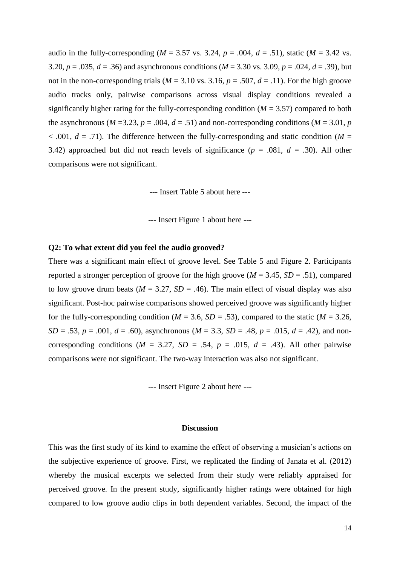audio in the fully-corresponding ( $M = 3.57$  vs. 3.24,  $p = .004$ ,  $d = .51$ ), static ( $M = 3.42$  vs. 3.20,  $p = .035$ ,  $d = .36$ ) and asynchronous conditions ( $M = 3.30$  vs. 3.09,  $p = .024$ ,  $d = .39$ ), but not in the non-corresponding trials ( $M = 3.10$  vs. 3.16,  $p = .507$ ,  $d = .11$ ). For the high groove audio tracks only, pairwise comparisons across visual display conditions revealed a significantly higher rating for the fully-corresponding condition (*M* = 3.57) compared to both the asynchronous ( $M = 3.23$ ,  $p = .004$ ,  $d = .51$ ) and non-corresponding conditions ( $M = 3.01$ ,  $p$  $< .001, d = .71$ ). The difference between the fully-corresponding and static condition (*M* = 3.42) approached but did not reach levels of significance ( $p = .081$ ,  $d = .30$ ). All other comparisons were not significant.

--- Insert Table 5 about here ---

--- Insert Figure 1 about here ---

## **Q2: To what extent did you feel the audio grooved?**

There was a significant main effect of groove level. See Table 5 and Figure 2. Participants reported a stronger perception of groove for the high groove ( $M = 3.45$ ,  $SD = .51$ ), compared to low groove drum beats ( $M = 3.27$ ,  $SD = .46$ ). The main effect of visual display was also significant. Post-hoc pairwise comparisons showed perceived groove was significantly higher for the fully-corresponding condition ( $M = 3.6$ ,  $SD = .53$ ), compared to the static ( $M = 3.26$ , *SD* = .53, *p* = .001, *d* = .60), asynchronous (*M* = 3.3, *SD* = .48, *p* = .015, *d* = .42), and noncorresponding conditions ( $M = 3.27$ ,  $SD = .54$ ,  $p = .015$ ,  $d = .43$ ). All other pairwise comparisons were not significant. The two-way interaction was also not significant.

--- Insert Figure 2 about here ---

#### **Discussion**

This was the first study of its kind to examine the effect of observing a musician's actions on the subjective experience of groove. First, we replicated the finding of Janata et al. (2012) whereby the musical excerpts we selected from their study were reliably appraised for perceived groove. In the present study, significantly higher ratings were obtained for high compared to low groove audio clips in both dependent variables. Second, the impact of the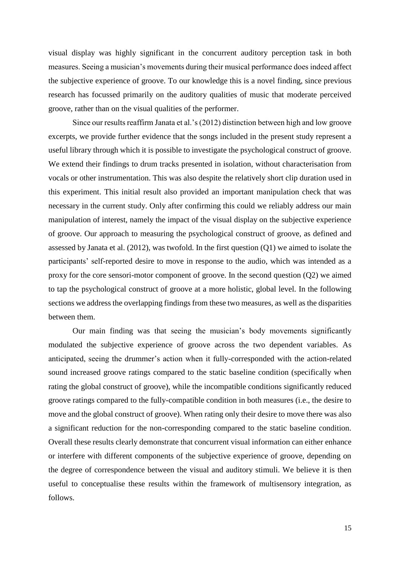visual display was highly significant in the concurrent auditory perception task in both measures. Seeing a musician's movements during their musical performance does indeed affect the subjective experience of groove. To our knowledge this is a novel finding, since previous research has focussed primarily on the auditory qualities of music that moderate perceived groove, rather than on the visual qualities of the performer.

Since our results reaffirm Janata et al.'s (2012) distinction between high and low groove excerpts, we provide further evidence that the songs included in the present study represent a useful library through which it is possible to investigate the psychological construct of groove. We extend their findings to drum tracks presented in isolation, without characterisation from vocals or other instrumentation. This was also despite the relatively short clip duration used in this experiment. This initial result also provided an important manipulation check that was necessary in the current study. Only after confirming this could we reliably address our main manipulation of interest, namely the impact of the visual display on the subjective experience of groove. Our approach to measuring the psychological construct of groove, as defined and assessed by Janata et al. (2012), was twofold. In the first question (Q1) we aimed to isolate the participants' self-reported desire to move in response to the audio, which was intended as a proxy for the core sensori-motor component of groove. In the second question (Q2) we aimed to tap the psychological construct of groove at a more holistic, global level. In the following sections we address the overlapping findings from these two measures, as well as the disparities between them.

Our main finding was that seeing the musician's body movements significantly modulated the subjective experience of groove across the two dependent variables. As anticipated, seeing the drummer's action when it fully-corresponded with the action-related sound increased groove ratings compared to the static baseline condition (specifically when rating the global construct of groove), while the incompatible conditions significantly reduced groove ratings compared to the fully-compatible condition in both measures (i.e., the desire to move and the global construct of groove). When rating only their desire to move there was also a significant reduction for the non-corresponding compared to the static baseline condition. Overall these results clearly demonstrate that concurrent visual information can either enhance or interfere with different components of the subjective experience of groove, depending on the degree of correspondence between the visual and auditory stimuli. We believe it is then useful to conceptualise these results within the framework of multisensory integration, as follows.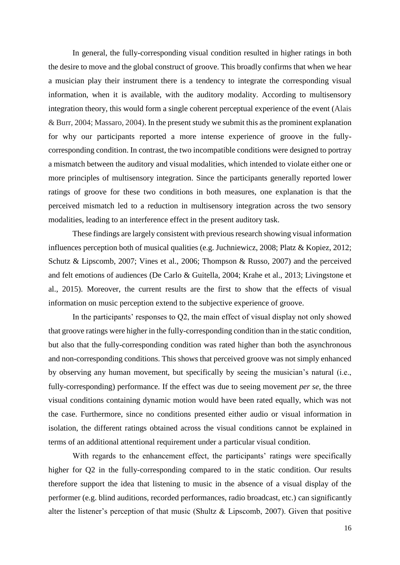In general, the fully-corresponding visual condition resulted in higher ratings in both the desire to move and the global construct of groove. This broadly confirms that when we hear a musician play their instrument there is a tendency to integrate the corresponding visual information, when it is available, with the auditory modality. According to multisensory integration theory, this would form a single coherent perceptual experience of the event (Alais & Burr, 2004; Massaro, 2004). In the present study we submit this as the prominent explanation for why our participants reported a more intense experience of groove in the fullycorresponding condition. In contrast, the two incompatible conditions were designed to portray a mismatch between the auditory and visual modalities, which intended to violate either one or more principles of multisensory integration. Since the participants generally reported lower ratings of groove for these two conditions in both measures, one explanation is that the perceived mismatch led to a reduction in multisensory integration across the two sensory modalities, leading to an interference effect in the present auditory task.

These findings are largely consistent with previous research showing visual information influences perception both of musical qualities (e.g. Juchniewicz, 2008; Platz & Kopiez, 2012; Schutz & Lipscomb, 2007; Vines et al., 2006; Thompson & Russo, 2007) and the perceived and felt emotions of audiences (De Carlo & Guitella, 2004; Krahe et al., 2013; Livingstone et al., 2015). Moreover, the current results are the first to show that the effects of visual information on music perception extend to the subjective experience of groove.

In the participants' responses to Q2, the main effect of visual display not only showed that groove ratings were higher in the fully-corresponding condition than in the static condition, but also that the fully-corresponding condition was rated higher than both the asynchronous and non-corresponding conditions. This shows that perceived groove was not simply enhanced by observing any human movement, but specifically by seeing the musician's natural (i.e., fully-corresponding) performance. If the effect was due to seeing movement *per se*, the three visual conditions containing dynamic motion would have been rated equally, which was not the case. Furthermore, since no conditions presented either audio or visual information in isolation, the different ratings obtained across the visual conditions cannot be explained in terms of an additional attentional requirement under a particular visual condition.

With regards to the enhancement effect, the participants' ratings were specifically higher for Q2 in the fully-corresponding compared to in the static condition. Our results therefore support the idea that listening to music in the absence of a visual display of the performer (e.g. blind auditions, recorded performances, radio broadcast, etc.) can significantly alter the listener's perception of that music (Shultz & Lipscomb, 2007). Given that positive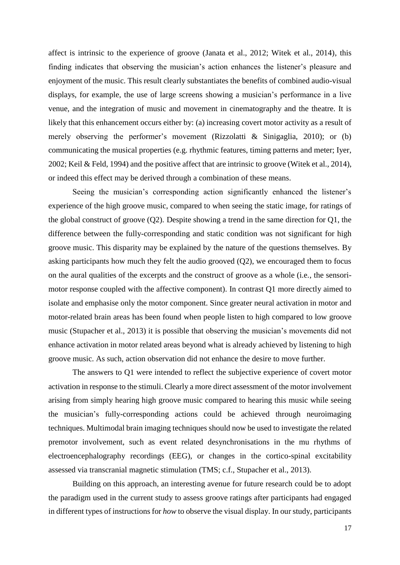affect is intrinsic to the experience of groove (Janata et al., 2012; Witek et al., 2014), this finding indicates that observing the musician's action enhances the listener's pleasure and enjoyment of the music. This result clearly substantiates the benefits of combined audio-visual displays, for example, the use of large screens showing a musician's performance in a live venue, and the integration of music and movement in cinematography and the theatre. It is likely that this enhancement occurs either by: (a) increasing covert motor activity as a result of merely observing the performer's movement (Rizzolatti & Sinigaglia, 2010); or (b) communicating the musical properties (e.g. rhythmic features, timing patterns and meter; Iyer, 2002; Keil & Feld, 1994) and the positive affect that are intrinsic to groove (Witek et al., 2014), or indeed this effect may be derived through a combination of these means.

Seeing the musician's corresponding action significantly enhanced the listener's experience of the high groove music, compared to when seeing the static image, for ratings of the global construct of groove (Q2). Despite showing a trend in the same direction for Q1, the difference between the fully-corresponding and static condition was not significant for high groove music. This disparity may be explained by the nature of the questions themselves. By asking participants how much they felt the audio grooved (Q2), we encouraged them to focus on the aural qualities of the excerpts and the construct of groove as a whole (i.e., the sensorimotor response coupled with the affective component). In contrast Q1 more directly aimed to isolate and emphasise only the motor component. Since greater neural activation in motor and motor-related brain areas has been found when people listen to high compared to low groove music (Stupacher et al., 2013) it is possible that observing the musician's movements did not enhance activation in motor related areas beyond what is already achieved by listening to high groove music. As such, action observation did not enhance the desire to move further.

The answers to Q1 were intended to reflect the subjective experience of covert motor activation in response to the stimuli. Clearly a more direct assessment of the motor involvement arising from simply hearing high groove music compared to hearing this music while seeing the musician's fully-corresponding actions could be achieved through neuroimaging techniques. Multimodal brain imaging techniques should now be used to investigate the related premotor involvement, such as event related desynchronisations in the mu rhythms of electroencephalography recordings (EEG), or changes in the cortico-spinal excitability assessed via transcranial magnetic stimulation (TMS; c.f., Stupacher et al., 2013).

Building on this approach, an interesting avenue for future research could be to adopt the paradigm used in the current study to assess groove ratings after participants had engaged in different types of instructions for *how* to observe the visual display. In our study, participants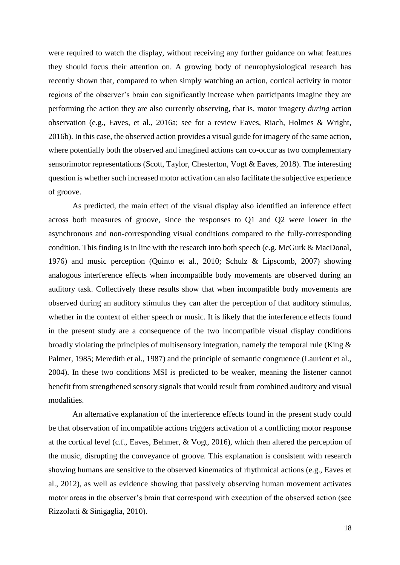were required to watch the display, without receiving any further guidance on what features they should focus their attention on. A growing body of neurophysiological research has recently shown that, compared to when simply watching an action, cortical activity in motor regions of the observer's brain can significantly increase when participants imagine they are performing the action they are also currently observing, that is, motor imagery *during* action observation (e.g., Eaves, et al., 2016a; see for a review Eaves, Riach, Holmes & Wright, 2016b). In this case, the observed action provides a visual guide for imagery of the same action, where potentially both the observed and imagined actions can co-occur as two complementary sensorimotor representations (Scott, Taylor, Chesterton, Vogt & Eaves, 2018). The interesting question is whether such increased motor activation can also facilitate the subjective experience of groove.

As predicted, the main effect of the visual display also identified an inference effect across both measures of groove, since the responses to Q1 and Q2 were lower in the asynchronous and non-corresponding visual conditions compared to the fully-corresponding condition. This finding is in line with the research into both speech (e.g. McGurk & MacDonal, 1976) and music perception (Quinto et al., 2010; Schulz & Lipscomb, 2007) showing analogous interference effects when incompatible body movements are observed during an auditory task. Collectively these results show that when incompatible body movements are observed during an auditory stimulus they can alter the perception of that auditory stimulus, whether in the context of either speech or music. It is likely that the interference effects found in the present study are a consequence of the two incompatible visual display conditions broadly violating the principles of multisensory integration, namely the temporal rule (King & Palmer, 1985; Meredith et al., 1987) and the principle of semantic congruence (Laurient et al., 2004). In these two conditions MSI is predicted to be weaker, meaning the listener cannot benefit from strengthened sensory signals that would result from combined auditory and visual modalities.

An alternative explanation of the interference effects found in the present study could be that observation of incompatible actions triggers activation of a conflicting motor response at the cortical level (c.f., Eaves, Behmer, & Vogt, 2016), which then altered the perception of the music, disrupting the conveyance of groove. This explanation is consistent with research showing humans are sensitive to the observed kinematics of rhythmical actions (e.g., Eaves et al., 2012), as well as evidence showing that passively observing human movement activates motor areas in the observer's brain that correspond with execution of the observed action (see Rizzolatti & Sinigaglia, 2010).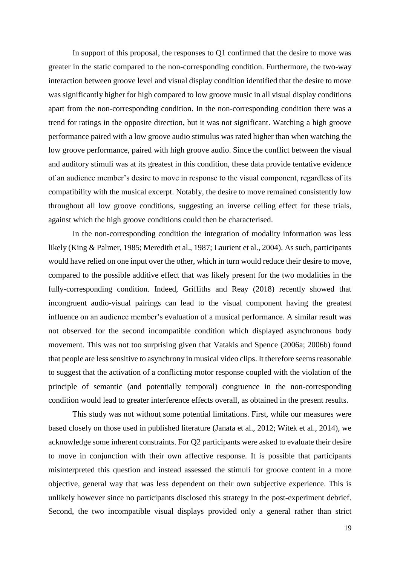In support of this proposal, the responses to Q1 confirmed that the desire to move was greater in the static compared to the non-corresponding condition. Furthermore, the two-way interaction between groove level and visual display condition identified that the desire to move was significantly higher for high compared to low groove music in all visual display conditions apart from the non-corresponding condition. In the non-corresponding condition there was a trend for ratings in the opposite direction, but it was not significant. Watching a high groove performance paired with a low groove audio stimulus was rated higher than when watching the low groove performance, paired with high groove audio. Since the conflict between the visual and auditory stimuli was at its greatest in this condition, these data provide tentative evidence of an audience member's desire to move in response to the visual component, regardless of its compatibility with the musical excerpt. Notably, the desire to move remained consistently low throughout all low groove conditions, suggesting an inverse ceiling effect for these trials, against which the high groove conditions could then be characterised.

In the non-corresponding condition the integration of modality information was less likely (King & Palmer, 1985; Meredith et al., 1987; Laurient et al., 2004). As such, participants would have relied on one input over the other, which in turn would reduce their desire to move, compared to the possible additive effect that was likely present for the two modalities in the fully-corresponding condition. Indeed, Griffiths and Reay (2018) recently showed that incongruent audio-visual pairings can lead to the visual component having the greatest influence on an audience member's evaluation of a musical performance. A similar result was not observed for the second incompatible condition which displayed asynchronous body movement. This was not too surprising given that Vatakis and Spence (2006a; 2006b) found that people are less sensitive to asynchrony in musical video clips. It therefore seems reasonable to suggest that the activation of a conflicting motor response coupled with the violation of the principle of semantic (and potentially temporal) congruence in the non-corresponding condition would lead to greater interference effects overall, as obtained in the present results.

This study was not without some potential limitations. First, while our measures were based closely on those used in published literature (Janata et al., 2012; Witek et al., 2014), we acknowledge some inherent constraints. For Q2 participants were asked to evaluate their desire to move in conjunction with their own affective response. It is possible that participants misinterpreted this question and instead assessed the stimuli for groove content in a more objective, general way that was less dependent on their own subjective experience. This is unlikely however since no participants disclosed this strategy in the post-experiment debrief. Second, the two incompatible visual displays provided only a general rather than strict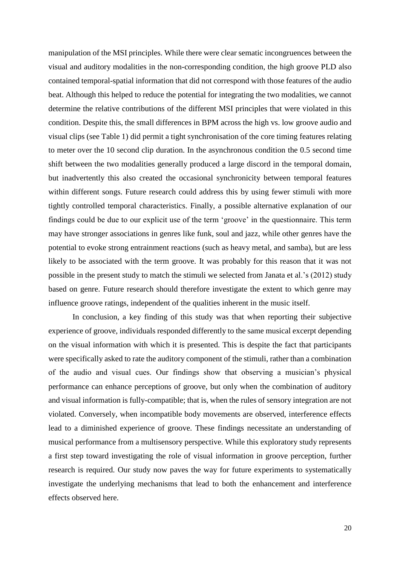manipulation of the MSI principles. While there were clear sematic incongruences between the visual and auditory modalities in the non-corresponding condition, the high groove PLD also contained temporal-spatial information that did not correspond with those features of the audio beat. Although this helped to reduce the potential for integrating the two modalities, we cannot determine the relative contributions of the different MSI principles that were violated in this condition. Despite this, the small differences in BPM across the high vs. low groove audio and visual clips (see Table 1) did permit a tight synchronisation of the core timing features relating to meter over the 10 second clip duration. In the asynchronous condition the 0.5 second time shift between the two modalities generally produced a large discord in the temporal domain, but inadvertently this also created the occasional synchronicity between temporal features within different songs. Future research could address this by using fewer stimuli with more tightly controlled temporal characteristics. Finally, a possible alternative explanation of our findings could be due to our explicit use of the term 'groove' in the questionnaire. This term may have stronger associations in genres like funk, soul and jazz, while other genres have the potential to evoke strong entrainment reactions (such as heavy metal, and samba), but are less likely to be associated with the term groove. It was probably for this reason that it was not possible in the present study to match the stimuli we selected from Janata et al.'s (2012) study based on genre. Future research should therefore investigate the extent to which genre may influence groove ratings, independent of the qualities inherent in the music itself.

In conclusion, a key finding of this study was that when reporting their subjective experience of groove, individuals responded differently to the same musical excerpt depending on the visual information with which it is presented. This is despite the fact that participants were specifically asked to rate the auditory component of the stimuli, rather than a combination of the audio and visual cues. Our findings show that observing a musician's physical performance can enhance perceptions of groove, but only when the combination of auditory and visual information is fully-compatible; that is, when the rules of sensory integration are not violated. Conversely, when incompatible body movements are observed, interference effects lead to a diminished experience of groove. These findings necessitate an understanding of musical performance from a multisensory perspective. While this exploratory study represents a first step toward investigating the role of visual information in groove perception, further research is required. Our study now paves the way for future experiments to systematically investigate the underlying mechanisms that lead to both the enhancement and interference effects observed here.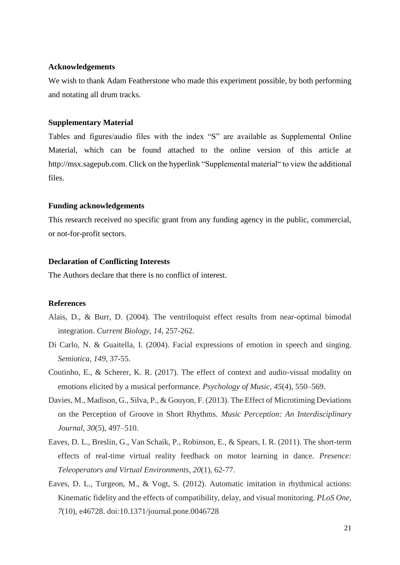## **Acknowledgements**

We wish to thank Adam Featherstone who made this experiment possible, by both performing and notating all drum tracks.

## **Supplementary Material**

Tables and figures/audio files with the index "S" are available as Supplemental Online Material, which can be found attached to the online version of this article at http://msx.sagepub.com. Click on the hyperlink "Supplemental material" to view the additional files.

## **Funding acknowledgements**

This research received no specific grant from any funding agency in the public, commercial, or not-for-profit sectors.

## **Declaration of Conflicting Interests**

The Authors declare that there is no conflict of interest.

#### **References**

- Alais, D., & Burr, D. (2004). The ventriloquist effect results from near-optimal bimodal integration. *Current Biology*, *14*, 257-262.
- Di Carlo, N. & Guaitella, I. (2004). Facial expressions of emotion in speech and singing. *Semiotica*, *149*, 37-55.
- Coutinho, E., & Scherer, K. R. (2017). The effect of context and audio-visual modality on emotions elicited by a musical performance. *Psychology of Music, 45*(4), 550–569.
- Davies, M., Madison, G., Silva, P., & Gouyon, F. (2013). The Effect of Microtiming Deviations on the Perception of Groove in Short Rhythms. *Music Perception: An Interdisciplinary Journal, 30*(5), 497–510.
- Eaves, D. L., Breslin, G., Van Schaik, P., Robinson, E., & Spears, I. R. (2011). The short-term effects of real-time virtual reality feedback on motor learning in dance. *Presence: Teleoperators and Virtual Environments*, *20*(1), 62-77.
- Eaves, D. L., Turgeon, M., & Vogt, S. (2012). Automatic imitation in rhythmical actions: Kinematic fidelity and the effects of compatibility, delay, and visual monitoring. *PLoS One*, *7*(10), e46728. doi:10.1371/journal.pone.0046728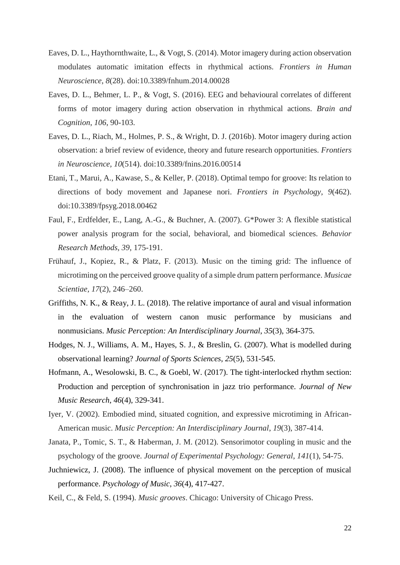- Eaves, D. L., Haythornthwaite, L., & Vogt, S. (2014). Motor imagery during action observation modulates automatic imitation effects in rhythmical actions. *Frontiers in Human Neuroscience*, *8*(28). doi:10.3389/fnhum.2014.00028
- Eaves, D. L., Behmer, L. P., & Vogt, S. (2016). EEG and behavioural correlates of different forms of motor imagery during action observation in rhythmical actions. *Brain and Cognition*, *106*, 90-103.
- Eaves, D. L., Riach, M., Holmes, P. S., & Wright, D. J. (2016b). Motor imagery during action observation: a brief review of evidence, theory and future research opportunities. *Frontiers in Neuroscience, 10*(514). doi:10.3389/fnins.2016.00514
- Etani, T., Marui, A., Kawase, S., & Keller, P. (2018). Optimal tempo for groove: Its relation to directions of body movement and Japanese nori. *Frontiers in Psychology*, *9*(462). doi:10.3389/fpsyg.2018.00462
- Faul, F., Erdfelder, E., Lang, A.-G., & Buchner, A. (2007). G\*Power 3: A flexible statistical power analysis program for the social, behavioral, and biomedical sciences. *Behavior Research Methods, 39*, 175-191.
- Frühauf, J., Kopiez, R., & Platz, F. (2013). Music on the timing grid: The influence of microtiming on the perceived groove quality of a simple drum pattern performance. *Musicae Scientiae, 17*(2), 246–260.
- Griffiths, N. K., & Reay, J. L. (2018). The relative importance of aural and visual information in the evaluation of western canon music performance by musicians and nonmusicians. *Music Perception: An Interdisciplinary Journal*, *35*(3), 364-375.
- Hodges, N. J., Williams, A. M., Hayes, S. J., & Breslin, G. (2007). What is modelled during observational learning? *Journal of Sports Sciences*, *25*(5), 531-545.
- Hofmann, A., Wesolowski, B. C., & Goebl, W. (2017). The tight-interlocked rhythm section: Production and perception of synchronisation in jazz trio performance. *Journal of New Music Research*, *46*(4), 329-341.
- Iyer, V. (2002). Embodied mind, situated cognition, and expressive microtiming in African-American music. *Music Perception: An Interdisciplinary Journal*, *19*(3), 387-414.
- Janata, P., Tomic, S. T., & Haberman, J. M. (2012). Sensorimotor coupling in music and the psychology of the groove. *Journal of Experimental Psychology: General*, *141*(1), 54-75.
- Juchniewicz, J. (2008). The influence of physical movement on the perception of musical performance. *Psychology of Music*, *36*(4), 417-427.
- Keil, C., & Feld, S. (1994). *Music grooves*. Chicago: University of Chicago Press.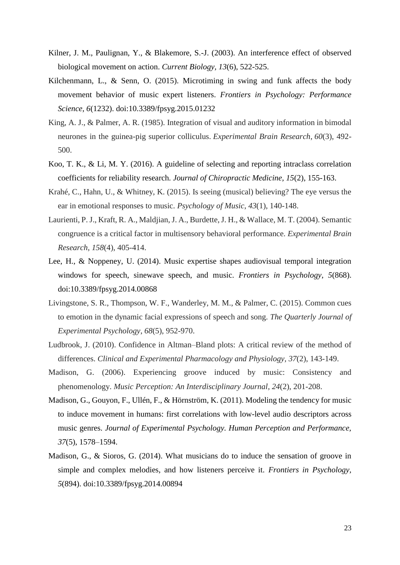- Kilner, J. M., Paulignan, Y., & Blakemore, S.-J. (2003). An interference effect of observed biological movement on action. *Current Biology, 13*(6), 522-525.
- Kilchenmann, L., & Senn, O. (2015). Microtiming in swing and funk affects the body movement behavior of music expert listeners. *Frontiers in Psychology: Performance Science*, *6*(1232). doi:10.3389/fpsyg.2015.01232
- King, A. J., & Palmer, A. R. (1985). Integration of visual and auditory information in bimodal neurones in the guinea-pig superior colliculus. *Experimental Brain Research*, *60*(3), 492- 500.
- Koo, T. K., & Li, M. Y. (2016). A guideline of selecting and reporting intraclass correlation coefficients for reliability research. *Journal of Chiropractic Medicine, 15*(2), 155-163.
- Krahé, C., Hahn, U., & Whitney, K. (2015). Is seeing (musical) believing? The eye versus the ear in emotional responses to music. *Psychology of Music*, *43*(1), 140-148.
- Laurienti, P. J., Kraft, R. A., Maldjian, J. A., Burdette, J. H., & Wallace, M. T. (2004). Semantic congruence is a critical factor in multisensory behavioral performance. *Experimental Brain Research*, *158*(4), 405-414.
- Lee, H., & Noppeney, U. (2014). Music expertise shapes audiovisual temporal integration windows for speech, sinewave speech, and music. *Frontiers in Psychology*, *5*(868). doi:10.3389/fpsyg.2014.00868
- Livingstone, S. R., Thompson, W. F., Wanderley, M. M., & Palmer, C. (2015). Common cues to emotion in the dynamic facial expressions of speech and song. *The Quarterly Journal of Experimental Psychology*, *68*(5), 952-970.
- Ludbrook, J. (2010). Confidence in Altman–Bland plots: A critical review of the method of differences. *Clinical and Experimental Pharmacology and Physiology, 37*(2), 143-149.
- Madison, G. (2006). Experiencing groove induced by music: Consistency and phenomenology. *Music Perception: An Interdisciplinary Journal*, *24*(2), 201-208.
- Madison, G., Gouyon, F., Ullén, F., & Hörnström, K. (2011). Modeling the tendency for music to induce movement in humans: first correlations with low-level audio descriptors across music genres. *Journal of Experimental Psychology. Human Perception and Performance, 37*(5), 1578–1594.
- Madison, G., & Sioros, G. (2014). What musicians do to induce the sensation of groove in simple and complex melodies, and how listeners perceive it. *Frontiers in Psychology, 5*(894). doi:10.3389/fpsyg.2014.00894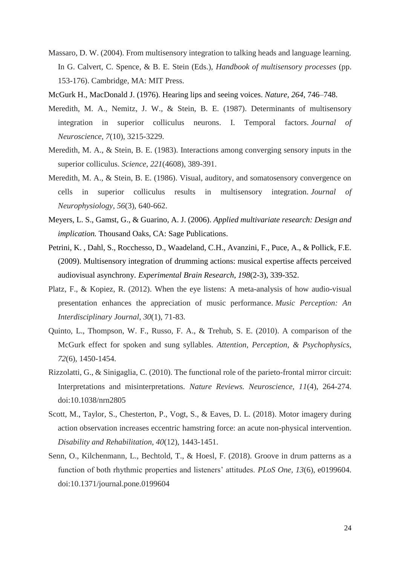Massaro, D. W. (2004). From multisensory integration to talking heads and language learning. In G. Calvert, C. Spence, & B. E. Stein (Eds.), *Handbook of multisensory processes* (pp. 153-176). Cambridge, MA: MIT Press.

McGurk H., MacDonald J. (1976). Hearing lips and seeing voices. *Nature, 264*, 746–748.

- Meredith, M. A., Nemitz, J. W., & Stein, B. E. (1987). Determinants of multisensory integration in superior colliculus neurons. I. Temporal factors. *Journal of Neuroscience*, *7*(10), 3215-3229.
- Meredith, M. A., & Stein, B. E. (1983). Interactions among converging sensory inputs in the superior colliculus. *Science*, *221*(4608), 389-391.
- Meredith, M. A., & Stein, B. E. (1986). Visual, auditory, and somatosensory convergence on cells in superior colliculus results in multisensory integration. *Journal of Neurophysiology*, *56*(3), 640-662.
- Meyers, L. S., Gamst, G., & Guarino, A. J. (2006). *Applied multivariate research: Design and implication.* Thousand Oaks, CA: Sage Publications.
- [Petrini, K.](http://eprints.gla.ac.uk/view/author/7885.html) , Dahl, S., Rocchesso, D., Waadeland, C.H., Avanzini, F., Puce, A., & [Pollick, F.E.](http://eprints.gla.ac.uk/view/author/5312.html) (2009). [Multisensory integration of drumming actions: musical expertise affects perceived](http://eprints.gla.ac.uk/55811/)  [audiovisual asynchrony.](http://eprints.gla.ac.uk/55811/) *[Experimental Brain Research](http://eprints.gla.ac.uk/view/journal_volume/Experimental_Brain_Research.html)*, *198*(2-3), 339-352.
- Platz, F., & Kopiez, R. (2012). When the eye listens: A meta-analysis of how audio-visual presentation enhances the appreciation of music performance. *Music Perception: An Interdisciplinary Journal*, *30*(1), 71-83.
- Quinto, L., Thompson, W. F., Russo, F. A., & Trehub, S. E. (2010). A comparison of the McGurk effect for spoken and sung syllables. *Attention, Perception, & Psychophysics*, *72*(6), 1450-1454.
- Rizzolatti, G., & Sinigaglia, C. (2010). The functional role of the parieto-frontal mirror circuit: Interpretations and misinterpretations. *Nature Reviews. Neuroscience*, *11*(4), 264-274. doi:10.1038/nrn2805
- Scott, M., Taylor, S., Chesterton, P., Vogt, S., & Eaves, D. L. (2018). Motor imagery during action observation increases eccentric hamstring force: an acute non-physical intervention. *Disability and Rehabilitation, 40*(12), 1443-1451.
- Senn, O., Kilchenmann, L., Bechtold, T., & Hoesl, F. (2018). Groove in drum patterns as a function of both rhythmic properties and listeners' attitudes. *PLoS One, 13*(6), e0199604. doi:10.1371/journal.pone.0199604